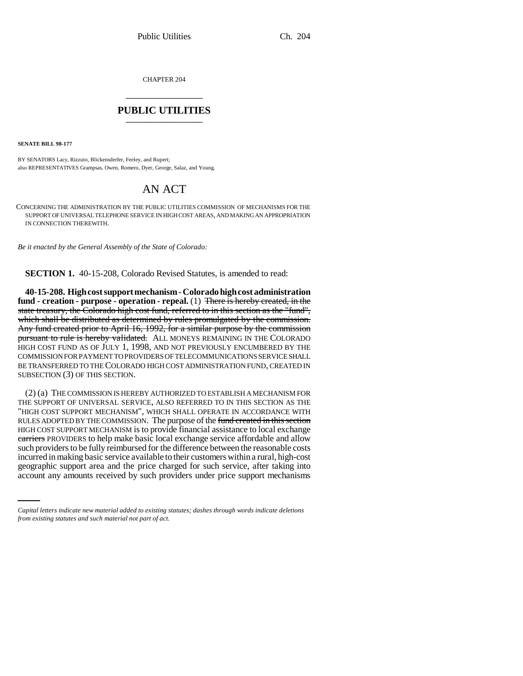CHAPTER 204 \_\_\_\_\_\_\_\_\_\_\_\_\_\_\_

## **PUBLIC UTILITIES** \_\_\_\_\_\_\_\_\_\_\_\_\_\_\_

**SENATE BILL 98-177**

BY SENATORS Lacy, Rizzuto, Blickensderfer, Feeley, and Rupert; also REPRESENTATIVES Grampsas, Owen, Romero, Dyer, George, Salaz, and Young.

## AN ACT

CONCERNING THE ADMINISTRATION BY THE PUBLIC UTILITIES COMMISSION OF MECHANISMS FOR THE SUPPORT OF UNIVERSAL TELEPHONE SERVICE IN HIGH COST AREAS, AND MAKING AN APPROPRIATION IN CONNECTION THEREWITH.

*Be it enacted by the General Assembly of the State of Colorado:*

**SECTION 1.** 40-15-208, Colorado Revised Statutes, is amended to read:

**40-15-208. High cost support mechanism - Colorado high cost administration fund - creation - purpose - operation - repeal.** (1) There is hereby created, in the state treasury, the Colorado high cost fund, referred to in this section as the "fund", which shall be distributed as determined by rules promulgated by the commission. Any fund created prior to April 16, 1992, for a similar purpose by the commission pursuant to rule is hereby validated. ALL MONEYS REMAINING IN THE COLORADO HIGH COST FUND AS OF JULY 1, 1998, AND NOT PREVIOUSLY ENCUMBERED BY THE COMMISSION FOR PAYMENT TO PROVIDERS OF TELECOMMUNICATIONS SERVICE SHALL BE TRANSFERRED TO THE COLORADO HIGH COST ADMINISTRATION FUND, CREATED IN SUBSECTION (3) OF THIS SECTION.

incurred in making basic service available to their customers within a rural, high-cost (2) (a) THE COMMISSION IS HEREBY AUTHORIZED TO ESTABLISH A MECHANISM FOR THE SUPPORT OF UNIVERSAL SERVICE, ALSO REFERRED TO IN THIS SECTION AS THE "HIGH COST SUPPORT MECHANISM", WHICH SHALL OPERATE IN ACCORDANCE WITH RULES ADOPTED BY THE COMMISSION. The purpose of the fund created in this section HIGH COST SUPPORT MECHANISM is to provide financial assistance to local exchange carriers PROVIDERS to help make basic local exchange service affordable and allow such providers to be fully reimbursed for the difference between the reasonable costs geographic support area and the price charged for such service, after taking into account any amounts received by such providers under price support mechanisms

*Capital letters indicate new material added to existing statutes; dashes through words indicate deletions from existing statutes and such material not part of act.*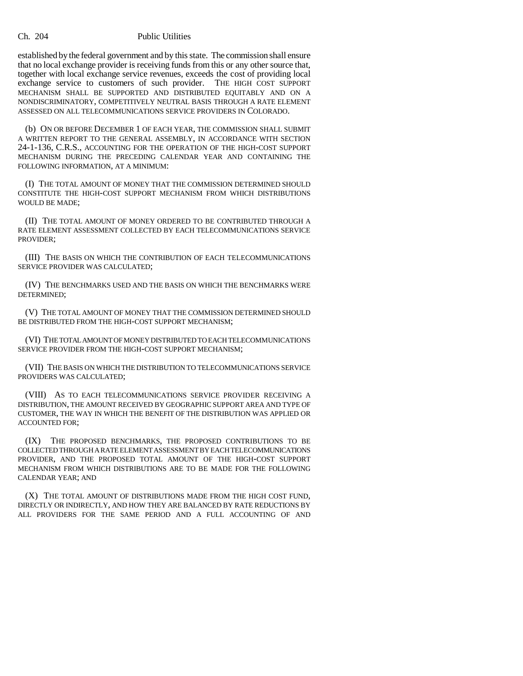## Ch. 204 Public Utilities

established by the federal government and by this state. The commission shall ensure that no local exchange provider is receiving funds from this or any other source that, together with local exchange service revenues, exceeds the cost of providing local exchange service to customers of such provider. THE HIGH COST SUPPORT MECHANISM SHALL BE SUPPORTED AND DISTRIBUTED EQUITABLY AND ON A NONDISCRIMINATORY, COMPETITIVELY NEUTRAL BASIS THROUGH A RATE ELEMENT ASSESSED ON ALL TELECOMMUNICATIONS SERVICE PROVIDERS IN COLORADO.

(b) ON OR BEFORE DECEMBER 1 OF EACH YEAR, THE COMMISSION SHALL SUBMIT A WRITTEN REPORT TO THE GENERAL ASSEMBLY, IN ACCORDANCE WITH SECTION 24-1-136, C.R.S., ACCOUNTING FOR THE OPERATION OF THE HIGH-COST SUPPORT MECHANISM DURING THE PRECEDING CALENDAR YEAR AND CONTAINING THE FOLLOWING INFORMATION, AT A MINIMUM:

(I) THE TOTAL AMOUNT OF MONEY THAT THE COMMISSION DETERMINED SHOULD CONSTITUTE THE HIGH-COST SUPPORT MECHANISM FROM WHICH DISTRIBUTIONS WOULD BE MADE;

(II) THE TOTAL AMOUNT OF MONEY ORDERED TO BE CONTRIBUTED THROUGH A RATE ELEMENT ASSESSMENT COLLECTED BY EACH TELECOMMUNICATIONS SERVICE PROVIDER;

(III) THE BASIS ON WHICH THE CONTRIBUTION OF EACH TELECOMMUNICATIONS SERVICE PROVIDER WAS CALCULATED;

(IV) THE BENCHMARKS USED AND THE BASIS ON WHICH THE BENCHMARKS WERE DETERMINED;

(V) THE TOTAL AMOUNT OF MONEY THAT THE COMMISSION DETERMINED SHOULD BE DISTRIBUTED FROM THE HIGH-COST SUPPORT MECHANISM;

(VI) THE TOTAL AMOUNT OF MONEY DISTRIBUTED TO EACH TELECOMMUNICATIONS SERVICE PROVIDER FROM THE HIGH-COST SUPPORT MECHANISM;

(VII) THE BASIS ON WHICH THE DISTRIBUTION TO TELECOMMUNICATIONS SERVICE PROVIDERS WAS CALCULATED;

(VIII) AS TO EACH TELECOMMUNICATIONS SERVICE PROVIDER RECEIVING A DISTRIBUTION, THE AMOUNT RECEIVED BY GEOGRAPHIC SUPPORT AREA AND TYPE OF CUSTOMER, THE WAY IN WHICH THE BENEFIT OF THE DISTRIBUTION WAS APPLIED OR ACCOUNTED FOR;

(IX) THE PROPOSED BENCHMARKS, THE PROPOSED CONTRIBUTIONS TO BE COLLECTED THROUGH A RATE ELEMENT ASSESSMENT BY EACH TELECOMMUNICATIONS PROVIDER, AND THE PROPOSED TOTAL AMOUNT OF THE HIGH-COST SUPPORT MECHANISM FROM WHICH DISTRIBUTIONS ARE TO BE MADE FOR THE FOLLOWING CALENDAR YEAR; AND

(X) THE TOTAL AMOUNT OF DISTRIBUTIONS MADE FROM THE HIGH COST FUND, DIRECTLY OR INDIRECTLY, AND HOW THEY ARE BALANCED BY RATE REDUCTIONS BY ALL PROVIDERS FOR THE SAME PERIOD AND A FULL ACCOUNTING OF AND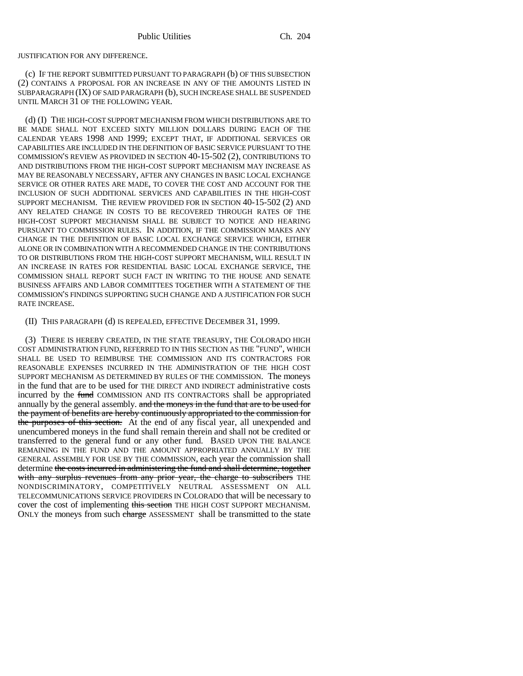## JUSTIFICATION FOR ANY DIFFERENCE.

(c) IF THE REPORT SUBMITTED PURSUANT TO PARAGRAPH (b) OF THIS SUBSECTION (2) CONTAINS A PROPOSAL FOR AN INCREASE IN ANY OF THE AMOUNTS LISTED IN SUBPARAGRAPH (IX) OF SAID PARAGRAPH (b), SUCH INCREASE SHALL BE SUSPENDED UNTIL MARCH 31 OF THE FOLLOWING YEAR.

(d) (I) THE HIGH-COST SUPPORT MECHANISM FROM WHICH DISTRIBUTIONS ARE TO BE MADE SHALL NOT EXCEED SIXTY MILLION DOLLARS DURING EACH OF THE CALENDAR YEARS 1998 AND 1999; EXCEPT THAT, IF ADDITIONAL SERVICES OR CAPABILITIES ARE INCLUDED IN THE DEFINITION OF BASIC SERVICE PURSUANT TO THE COMMISSION'S REVIEW AS PROVIDED IN SECTION 40-15-502 (2), CONTRIBUTIONS TO AND DISTRIBUTIONS FROM THE HIGH-COST SUPPORT MECHANISM MAY INCREASE AS MAY BE REASONABLY NECESSARY, AFTER ANY CHANGES IN BASIC LOCAL EXCHANGE SERVICE OR OTHER RATES ARE MADE, TO COVER THE COST AND ACCOUNT FOR THE INCLUSION OF SUCH ADDITIONAL SERVICES AND CAPABILITIES IN THE HIGH-COST SUPPORT MECHANISM. THE REVIEW PROVIDED FOR IN SECTION 40-15-502 (2) AND ANY RELATED CHANGE IN COSTS TO BE RECOVERED THROUGH RATES OF THE HIGH-COST SUPPORT MECHANISM SHALL BE SUBJECT TO NOTICE AND HEARING PURSUANT TO COMMISSION RULES. IN ADDITION, IF THE COMMISSION MAKES ANY CHANGE IN THE DEFINITION OF BASIC LOCAL EXCHANGE SERVICE WHICH, EITHER ALONE OR IN COMBINATION WITH A RECOMMENDED CHANGE IN THE CONTRIBUTIONS TO OR DISTRIBUTIONS FROM THE HIGH-COST SUPPORT MECHANISM, WILL RESULT IN AN INCREASE IN RATES FOR RESIDENTIAL BASIC LOCAL EXCHANGE SERVICE, THE COMMISSION SHALL REPORT SUCH FACT IN WRITING TO THE HOUSE AND SENATE BUSINESS AFFAIRS AND LABOR COMMITTEES TOGETHER WITH A STATEMENT OF THE COMMISSION'S FINDINGS SUPPORTING SUCH CHANGE AND A JUSTIFICATION FOR SUCH RATE INCREASE.

(II) THIS PARAGRAPH (d) IS REPEALED, EFFECTIVE DECEMBER 31, 1999.

(3) THERE IS HEREBY CREATED, IN THE STATE TREASURY, THE COLORADO HIGH COST ADMINISTRATION FUND, REFERRED TO IN THIS SECTION AS THE "FUND", WHICH SHALL BE USED TO REIMBURSE THE COMMISSION AND ITS CONTRACTORS FOR REASONABLE EXPENSES INCURRED IN THE ADMINISTRATION OF THE HIGH COST SUPPORT MECHANISM AS DETERMINED BY RULES OF THE COMMISSION. The moneys in the fund that are to be used for THE DIRECT AND INDIRECT administrative costs incurred by the fund COMMISSION AND ITS CONTRACTORS shall be appropriated annually by the general assembly. and the moneys in the fund that are to be used for the payment of benefits are hereby continuously appropriated to the commission for the purposes of this section. At the end of any fiscal year, all unexpended and unencumbered moneys in the fund shall remain therein and shall not be credited or transferred to the general fund or any other fund. BASED UPON THE BALANCE REMAINING IN THE FUND AND THE AMOUNT APPROPRIATED ANNUALLY BY THE GENERAL ASSEMBLY FOR USE BY THE COMMISSION, each year the commission shall determine the costs incurred in administering the fund and shall determine, together with any surplus revenues from any prior year, the charge to subscribers THE NONDISCRIMINATORY, COMPETITIVELY NEUTRAL ASSESSMENT ON ALL TELECOMMUNICATIONS SERVICE PROVIDERS IN COLORADO that will be necessary to cover the cost of implementing this section THE HIGH COST SUPPORT MECHANISM. ONLY the moneys from such charge ASSESSMENT shall be transmitted to the state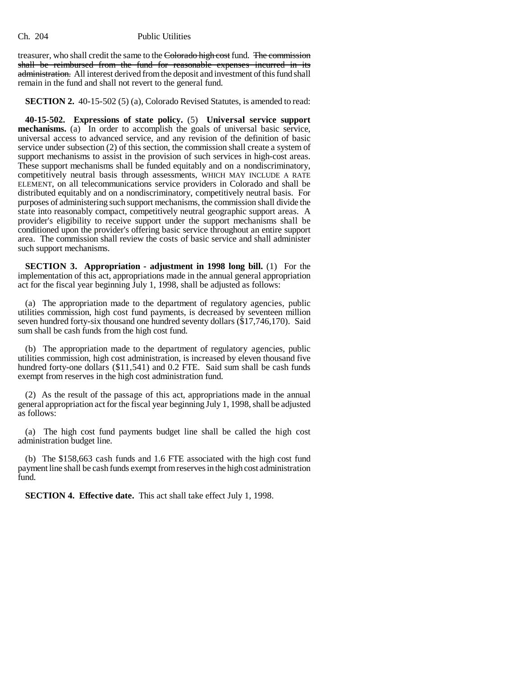treasurer, who shall credit the same to the Colorado high cost fund. The commission shall be reimbursed from the fund for reasonable expenses incurred in its administration. All interest derived from the deposit and investment of this fund shall remain in the fund and shall not revert to the general fund.

**SECTION 2.** 40-15-502 (5) (a), Colorado Revised Statutes, is amended to read:

**40-15-502. Expressions of state policy.** (5) **Universal service support mechanisms.** (a) In order to accomplish the goals of universal basic service, universal access to advanced service, and any revision of the definition of basic service under subsection (2) of this section, the commission shall create a system of support mechanisms to assist in the provision of such services in high-cost areas. These support mechanisms shall be funded equitably and on a nondiscriminatory, competitively neutral basis through assessments, WHICH MAY INCLUDE A RATE ELEMENT, on all telecommunications service providers in Colorado and shall be distributed equitably and on a nondiscriminatory, competitively neutral basis. For purposes of administering such support mechanisms, the commission shall divide the state into reasonably compact, competitively neutral geographic support areas. A provider's eligibility to receive support under the support mechanisms shall be conditioned upon the provider's offering basic service throughout an entire support area. The commission shall review the costs of basic service and shall administer such support mechanisms.

**SECTION 3. Appropriation - adjustment in 1998 long bill.** (1) For the implementation of this act, appropriations made in the annual general appropriation act for the fiscal year beginning July 1, 1998, shall be adjusted as follows:

(a) The appropriation made to the department of regulatory agencies, public utilities commission, high cost fund payments, is decreased by seventeen million seven hundred forty-six thousand one hundred seventy dollars (\$17,746,170). Said sum shall be cash funds from the high cost fund.

(b) The appropriation made to the department of regulatory agencies, public utilities commission, high cost administration, is increased by eleven thousand five hundred forty-one dollars (\$11,541) and 0.2 FTE. Said sum shall be cash funds exempt from reserves in the high cost administration fund.

(2) As the result of the passage of this act, appropriations made in the annual general appropriation act for the fiscal year beginning July 1, 1998, shall be adjusted as follows:

(a) The high cost fund payments budget line shall be called the high cost administration budget line.

(b) The \$158,663 cash funds and 1.6 FTE associated with the high cost fund payment line shall be cash funds exempt from reserves in the high cost administration fund.

**SECTION 4. Effective date.** This act shall take effect July 1, 1998.